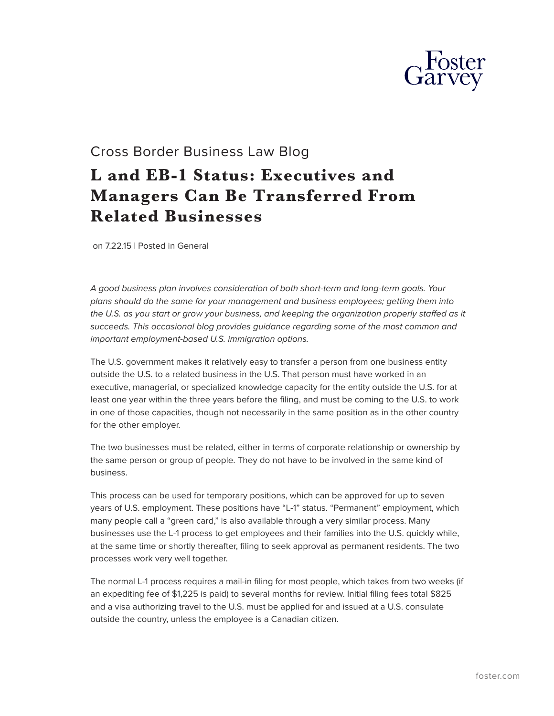

## Cross Border Business Law Blog

## **L and EB-1 Status: Executives and Managers Can Be Transferred From Related Businesses**

on 7.22.15 | Posted in General

*A good business plan involves consideration of both short-term and long-term goals. Your plans should do the same for your management and business employees; getting them into the U.S. as you start or grow your business, and keeping the organization properly staffed as it succeeds. This occasional blog provides guidance regarding some of the most common and important employment-based U.S. immigration options.*

The U.S. government makes it relatively easy to transfer a person from one business entity outside the U.S. to a related business in the U.S. That person must have worked in an executive, managerial, or specialized knowledge capacity for the entity outside the U.S. for at least one year within the three years before the filing, and must be coming to the U.S. to work in one of those capacities, though not necessarily in the same position as in the other country for the other employer.

The two businesses must be related, either in terms of corporate relationship or ownership by the same person or group of people. They do not have to be involved in the same kind of business.

This process can be used for temporary positions, which can be approved for up to seven years of U.S. employment. These positions have "L-1" status. "Permanent" employment, which many people call a "green card," is also available through a very similar process. Many businesses use the L-1 process to get employees and their families into the U.S. quickly while, at the same time or shortly thereafter, filing to seek approval as permanent residents. The two processes work very well together.

The normal L-1 process requires a mail-in filing for most people, which takes from two weeks (if an expediting fee of \$1,225 is paid) to several months for review. Initial filing fees total \$825 and a visa authorizing travel to the U.S. must be applied for and issued at a U.S. consulate outside the country, unless the employee is a Canadian citizen.